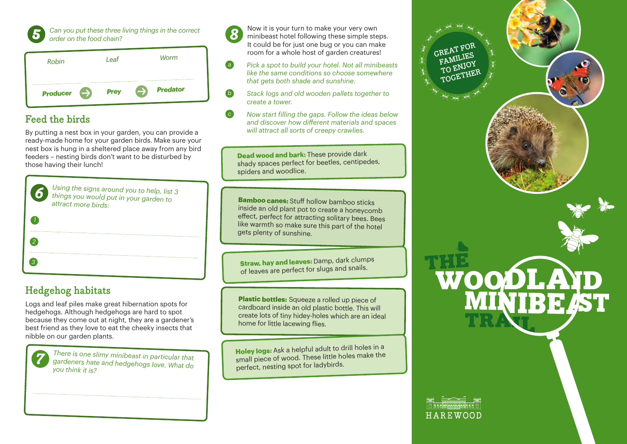

*Can you put these three living things in the correct order on the food chain?*

| Robin                            | I eat       | Worm                             |
|----------------------------------|-------------|----------------------------------|
| <b>Producer</b><br>$\Rightarrow$ | <b>Prey</b> | <b>Predator</b><br>$\rightarrow$ |

# **Feed the birds**

By putting a nest box in your garden, you can provide a ready-made home for your garden birds. Make sure your nest box is hung in a sheltered place away from any bird feeders – nesting birds don't want to be disturbed by those having their lunch!

| 6 | Using the signs around you to help, list 3<br>things you would put in your garden to<br>attract more birds: |
|---|-------------------------------------------------------------------------------------------------------------|
|   |                                                                                                             |
|   |                                                                                                             |
|   |                                                                                                             |
|   |                                                                                                             |

# **Hedgehog habitats**

Logs and leaf piles make great hibernation spots for hedgehogs. Although hedgehogs are hard to spot because they come out at night, they are a gardener's best friend as they love to eat the cheeky insects that nibble on our garden plants.



*There is one slimy minibeast in particular that gardeners hate and hedgehogs love. What do you think it is?*

Now it is your turn to make your very own minibeast hotel following these simple steps. It could be for just one bug or you can make room for a whole host of garden creatures!

- *a Pick a spot to build your hotel. Not all minibeasts like the same conditions so choose somewhere that gets both shade and sunshine.*
- *b Stack logs and old wooden pallets together to create a tower.*
- *c Now start filling the gaps. Follow the ideas below*  and discover how different materials and spaces *will attract all sorts of creepy crawlies.*

**Dead wood and bark:** These provide dark shady spaces perfect for beetles, centipedes, spiders and woodlice.

**Bamboo canes:** Stuff hollow bamboo sticks inside an old plant pot to create a honeycomb effect, perfect for attracting solitary bees. Bees like warmth so make sure this part of the hotel gets plenty of sunshine.

**Straw, hay and leaves:** Damp, dark clumps of leaves are perfect for slugs and snails.

**Plastic bottles:** Squeeze a rolled up piece of cardboard inside an old plastic bottle. This will create lots of tiny hidey-holes which are an ideal home for little lacewing flies.

**Holey logs:** Ask a helpful adult to drill holes in a small piece of wood. These little holes make the perfect, nesting spot for ladybirds.



HAREWOOD